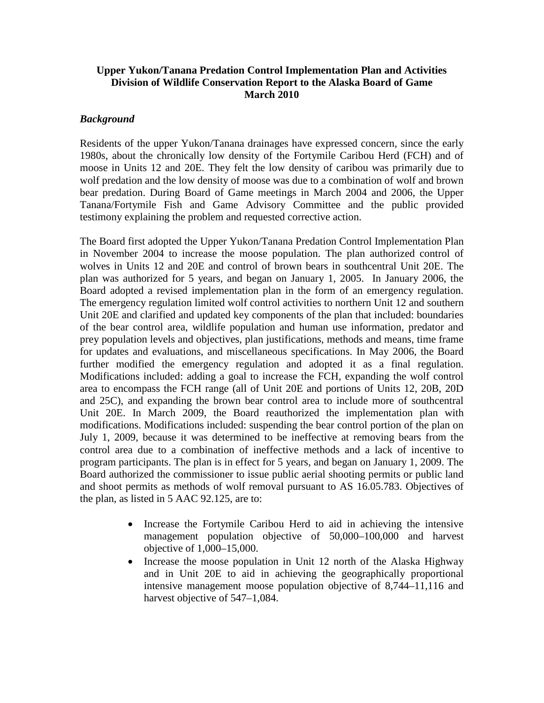# **Upper Yukon/Tanana Predation Control Implementation Plan and Activities Division of Wildlife Conservation Report to the Alaska Board of Game March 2010**

# *Background*

Residents of the upper Yukon/Tanana drainages have expressed concern, since the early 1980s, about the chronically low density of the Fortymile Caribou Herd (FCH) and of moose in Units 12 and 20E. They felt the low density of caribou was primarily due to wolf predation and the low density of moose was due to a combination of wolf and brown bear predation. During Board of Game meetings in March 2004 and 2006, the Upper Tanana/Fortymile Fish and Game Advisory Committee and the public provided testimony explaining the problem and requested corrective action.

The Board first adopted the Upper Yukon/Tanana Predation Control Implementation Plan in November 2004 to increase the moose population. The plan authorized control of wolves in Units 12 and 20E and control of brown bears in southcentral Unit 20E. The plan was authorized for 5 years, and began on January 1, 2005. In January 2006, the Board adopted a revised implementation plan in the form of an emergency regulation. The emergency regulation limited wolf control activities to northern Unit 12 and southern Unit 20E and clarified and updated key components of the plan that included: boundaries of the bear control area, wildlife population and human use information, predator and prey population levels and objectives, plan justifications, methods and means, time frame for updates and evaluations, and miscellaneous specifications. In May 2006, the Board further modified the emergency regulation and adopted it as a final regulation. Modifications included: adding a goal to increase the FCH, expanding the wolf control area to encompass the FCH range (all of Unit 20E and portions of Units 12, 20B, 20D and 25C), and expanding the brown bear control area to include more of southcentral Unit 20E. In March 2009, the Board reauthorized the implementation plan with modifications. Modifications included: suspending the bear control portion of the plan on July 1, 2009, because it was determined to be ineffective at removing bears from the control area due to a combination of ineffective methods and a lack of incentive to program participants. The plan is in effect for 5 years, and began on January 1, 2009. The Board authorized the commissioner to issue public aerial shooting permits or public land and shoot permits as methods of wolf removal pursuant to AS 16.05.783. Objectives of the plan, as listed in 5 AAC 92.125, are to:

- Increase the Fortymile Caribou Herd to aid in achieving the intensive management population objective of 50,000–100,000 and harvest objective of 1,000–15,000.
- Increase the moose population in Unit 12 north of the Alaska Highway and in Unit 20E to aid in achieving the geographically proportional intensive management moose population objective of 8,744–11,116 and harvest objective of 547–1,084.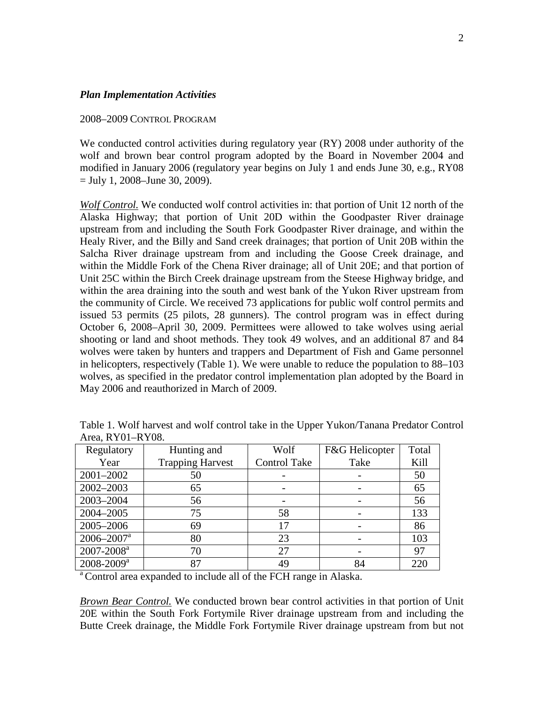#### *Plan Implementation Activities*

#### 2008–2009 CONTROL PROGRAM

We conducted control activities during regulatory year (RY) 2008 under authority of the wolf and brown bear control program adopted by the Board in November 2004 and modified in January 2006 (regulatory year begins on July 1 and ends June 30, e.g., RY08 = July 1, 2008–June 30, 2009).

*Wolf Control.* We conducted wolf control activities in: that portion of Unit 12 north of the Alaska Highway; that portion of Unit 20D within the Goodpaster River drainage upstream from and including the South Fork Goodpaster River drainage, and within the Healy River, and the Billy and Sand creek drainages; that portion of Unit 20B within the Salcha River drainage upstream from and including the Goose Creek drainage, and within the Middle Fork of the Chena River drainage; all of Unit 20E; and that portion of Unit 25C within the Birch Creek drainage upstream from the Steese Highway bridge, and within the area draining into the south and west bank of the Yukon River upstream from the community of Circle. We received 73 applications for public wolf control permits and issued 53 permits (25 pilots, 28 gunners). The control program was in effect during October 6, 2008–April 30, 2009. Permittees were allowed to take wolves using aerial shooting or land and shoot methods. They took 49 wolves, and an additional 87 and 84 wolves were taken by hunters and trappers and Department of Fish and Game personnel in helicopters, respectively (Table 1). We were unable to reduce the population to 88–103 wolves, as specified in the predator control implementation plan adopted by the Board in May 2006 and reauthorized in March of 2009.

| Regulatory                 | Hunting and             | Wolf                | F&G Helicopter | Total |
|----------------------------|-------------------------|---------------------|----------------|-------|
| Year                       | <b>Trapping Harvest</b> | <b>Control Take</b> | Take           | Kill  |
| 2001-2002                  | 50                      |                     |                | 50    |
| 2002-2003                  | 65                      |                     |                | 65    |
| 2003-2004                  | 56                      |                     |                | 56    |
| 2004-2005                  | 75                      | 58                  |                | 133   |
| 2005-2006                  | 69                      | 17                  |                | 86    |
| $2006 - 2007$ <sup>a</sup> | 80                      | 23                  |                | 103   |
| $2007 - 2008^a$            | 70                      | 27                  |                | 97    |
| $2008 - 2009^a$            | 87                      | 49                  | 84             | 220   |

Table 1. Wolf harvest and wolf control take in the Upper Yukon/Tanana Predator Control Area, RY01–RY08.

<sup>a</sup> Control area expanded to include all of the FCH range in Alaska.

*Brown Bear Control.* We conducted brown bear control activities in that portion of Unit 20E within the South Fork Fortymile River drainage upstream from and including the Butte Creek drainage, the Middle Fork Fortymile River drainage upstream from but not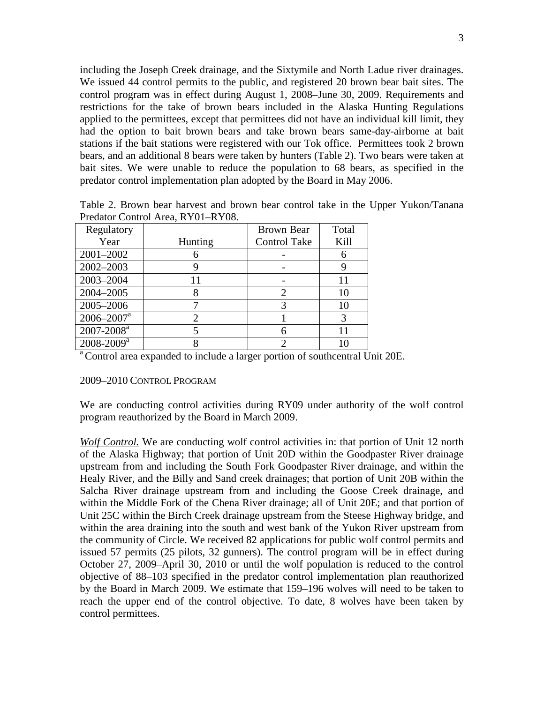including the Joseph Creek drainage, and the Sixtymile and North Ladue river drainages. We issued 44 control permits to the public, and registered 20 brown bear bait sites. The control program was in effect during August 1, 2008–June 30, 2009. Requirements and restrictions for the take of brown bears included in the Alaska Hunting Regulations applied to the permittees, except that permittees did not have an individual kill limit, they had the option to bait brown bears and take brown bears same-day-airborne at bait stations if the bait stations were registered with our Tok office. Permittees took 2 brown bears, and an additional 8 bears were taken by hunters (Table 2). Two bears were taken at bait sites. We were unable to reduce the population to 68 bears, as specified in the predator control implementation plan adopted by the Board in May 2006.

| Regulatory                 |         | <b>Brown Bear</b>   | Total |
|----------------------------|---------|---------------------|-------|
| Year                       | Hunting | <b>Control Take</b> | Kill  |
| 2001-2002                  |         |                     | 6     |
| 2002-2003                  |         |                     |       |
| 2003-2004                  |         |                     | 11    |
| 2004-2005                  | O       |                     | 10    |
| 2005-2006                  |         |                     | 10    |
| $2006 - 2007$ <sup>a</sup> |         |                     | 3     |
| $2007 - 2008$ <sup>a</sup> |         |                     | 11    |
| $2008 - 2009$ <sup>a</sup> |         |                     |       |

Table 2. Brown bear harvest and brown bear control take in the Upper Yukon/Tanana Predator Control Area, RY01–RY08.

<sup>a</sup> Control area expanded to include a larger portion of southcentral Unit 20E.

#### 2009–2010 CONTROL PROGRAM

We are conducting control activities during RY09 under authority of the wolf control program reauthorized by the Board in March 2009.

*Wolf Control.* We are conducting wolf control activities in: that portion of Unit 12 north of the Alaska Highway; that portion of Unit 20D within the Goodpaster River drainage upstream from and including the South Fork Goodpaster River drainage, and within the Healy River, and the Billy and Sand creek drainages; that portion of Unit 20B within the Salcha River drainage upstream from and including the Goose Creek drainage, and within the Middle Fork of the Chena River drainage; all of Unit 20E; and that portion of Unit 25C within the Birch Creek drainage upstream from the Steese Highway bridge, and within the area draining into the south and west bank of the Yukon River upstream from the community of Circle. We received 82 applications for public wolf control permits and issued 57 permits (25 pilots, 32 gunners). The control program will be in effect during October 27, 2009–April 30, 2010 or until the wolf population is reduced to the control objective of 88–103 specified in the predator control implementation plan reauthorized by the Board in March 2009. We estimate that 159–196 wolves will need to be taken to reach the upper end of the control objective. To date, 8 wolves have been taken by control permittees.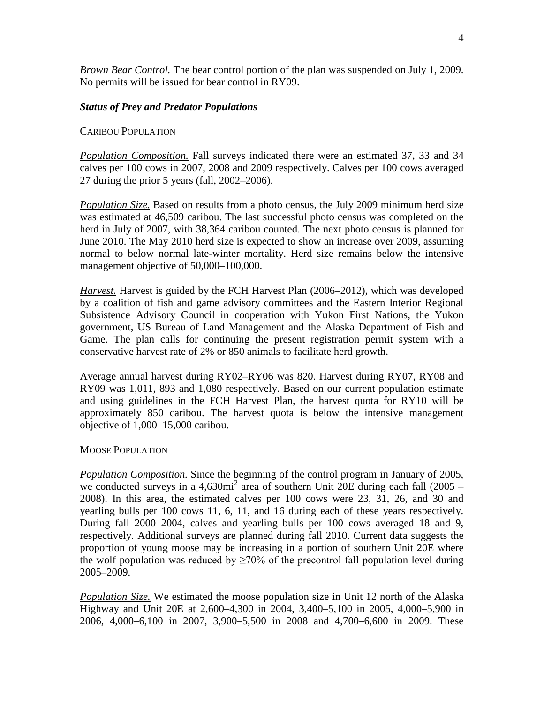*Brown Bear Control.* The bear control portion of the plan was suspended on July 1, 2009. No permits will be issued for bear control in RY09.

## *Status of Prey and Predator Populations*

## CARIBOU POPULATION

*Population Composition.* Fall surveys indicated there were an estimated 37, 33 and 34 calves per 100 cows in 2007, 2008 and 2009 respectively. Calves per 100 cows averaged 27 during the prior 5 years (fall, 2002–2006).

*Population Size.* Based on results from a photo census, the July 2009 minimum herd size was estimated at 46,509 caribou. The last successful photo census was completed on the herd in July of 2007, with 38,364 caribou counted. The next photo census is planned for June 2010. The May 2010 herd size is expected to show an increase over 2009, assuming normal to below normal late-winter mortality. Herd size remains below the intensive management objective of 50,000–100,000.

*Harvest.* Harvest is guided by the FCH Harvest Plan (2006–2012), which was developed by a coalition of fish and game advisory committees and the Eastern Interior Regional Subsistence Advisory Council in cooperation with Yukon First Nations, the Yukon government, US Bureau of Land Management and the Alaska Department of Fish and Game. The plan calls for continuing the present registration permit system with a conservative harvest rate of 2% or 850 animals to facilitate herd growth.

Average annual harvest during RY02–RY06 was 820. Harvest during RY07, RY08 and RY09 was 1,011, 893 and 1,080 respectively. Based on our current population estimate and using guidelines in the FCH Harvest Plan, the harvest quota for RY10 will be approximately 850 caribou. The harvest quota is below the intensive management objective of 1,000–15,000 caribou.

## MOOSE POPULATION

*Population Composition.* Since the beginning of the control program in January of 2005, we conducted surveys in a  $4,630\text{mi}^2$  area of southern Unit 20E during each fall (2005 – 2008). In this area, the estimated calves per 100 cows were 23, 31, 26, and 30 and yearling bulls per 100 cows 11, 6, 11, and 16 during each of these years respectively. During fall 2000–2004, calves and yearling bulls per 100 cows averaged 18 and 9, respectively. Additional surveys are planned during fall 2010. Current data suggests the proportion of young moose may be increasing in a portion of southern Unit 20E where the wolf population was reduced by  $>70\%$  of the precontrol fall population level during 2005–2009.

*Population Size.* We estimated the moose population size in Unit 12 north of the Alaska Highway and Unit 20E at 2,600–4,300 in 2004, 3,400–5,100 in 2005, 4,000–5,900 in 2006, 4,000–6,100 in 2007, 3,900–5,500 in 2008 and 4,700–6,600 in 2009. These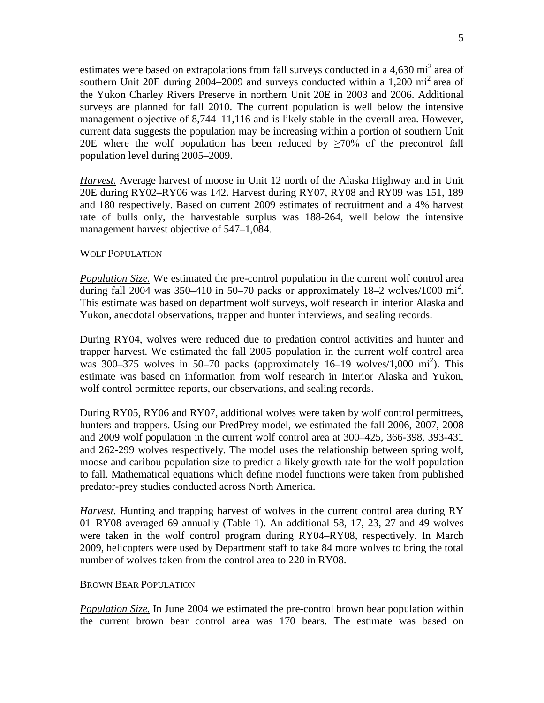estimates were based on extrapolations from fall surveys conducted in a  $4,630$  mi<sup>2</sup> area of southern Unit 20E during 2004–2009 and surveys conducted within a 1,200  $\text{mi}^2$  area of the Yukon Charley Rivers Preserve in northern Unit 20E in 2003 and 2006. Additional surveys are planned for fall 2010. The current population is well below the intensive management objective of 8,744–11,116 and is likely stable in the overall area. However, current data suggests the population may be increasing within a portion of southern Unit 20E where the wolf population has been reduced by  $\geq 70\%$  of the precontrol fall population level during 2005–2009.

*Harvest.* Average harvest of moose in Unit 12 north of the Alaska Highway and in Unit 20E during RY02–RY06 was 142. Harvest during RY07, RY08 and RY09 was 151, 189 and 180 respectively. Based on current 2009 estimates of recruitment and a 4% harvest rate of bulls only, the harvestable surplus was 188-264, well below the intensive management harvest objective of  $547-1,084$ .

## WOLF POPULATION

*Population Size.* We estimated the pre-control population in the current wolf control area during fall 2004 was 350–410 in 50–70 packs or approximately  $18-2$  wolves/1000 mi<sup>2</sup>. This estimate was based on department wolf surveys, wolf research in interior Alaska and Yukon, anecdotal observations, trapper and hunter interviews, and sealing records.

During RY04, wolves were reduced due to predation control activities and hunter and trapper harvest. We estimated the fall 2005 population in the current wolf control area was 300–375 wolves in 50–70 packs (approximately 16–19 wolves/1,000 mi<sup>2</sup>). This estimate was based on information from wolf research in Interior Alaska and Yukon, wolf control permittee reports, our observations, and sealing records.

During RY05, RY06 and RY07, additional wolves were taken by wolf control permittees, hunters and trappers. Using our PredPrey model, we estimated the fall 2006, 2007, 2008 and 2009 wolf population in the current wolf control area at 300–425, 366-398, 393-431 and 262-299 wolves respectively. The model uses the relationship between spring wolf, moose and caribou population size to predict a likely growth rate for the wolf population to fall. Mathematical equations which define model functions were taken from published predator-prey studies conducted across North America.

*Harvest.* Hunting and trapping harvest of wolves in the current control area during RY 01–RY08 averaged 69 annually (Table 1). An additional 58, 17, 23, 27 and 49 wolves were taken in the wolf control program during RY04–RY08, respectively. In March 2009, helicopters were used by Department staff to take 84 more wolves to bring the total number of wolves taken from the control area to 220 in RY08.

## BROWN BEAR POPULATION

*Population Size.* In June 2004 we estimated the pre-control brown bear population within the current brown bear control area was 170 bears. The estimate was based on